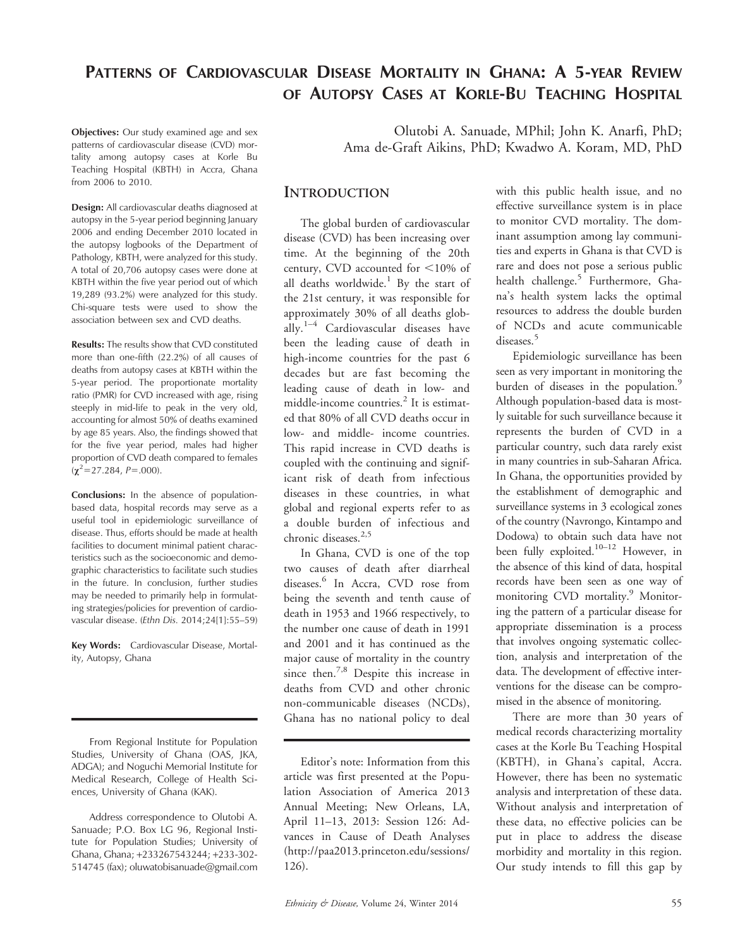# PATTERNS OF CARDIOVASCULAR DISEASE MORTALITY IN GHANA: A 5-YEAR REVIEW OF AUTOPSY CASES AT KORLE-BU TEACHING HOSPITAL

Objectives: Our study examined age and sex patterns of cardiovascular disease (CVD) mortality among autopsy cases at Korle Bu Teaching Hospital (KBTH) in Accra, Ghana from 2006 to 2010.

Design: All cardiovascular deaths diagnosed at autopsy in the 5-year period beginning January 2006 and ending December 2010 located in the autopsy logbooks of the Department of Pathology, KBTH, were analyzed for this study. A total of 20,706 autopsy cases were done at KBTH within the five year period out of which 19,289 (93.2%) were analyzed for this study. Chi-square tests were used to show the association between sex and CVD deaths.

Results: The results show that CVD constituted more than one-fifth (22.2%) of all causes of deaths from autopsy cases at KBTH within the 5-year period. The proportionate mortality ratio (PMR) for CVD increased with age, rising steeply in mid-life to peak in the very old, accounting for almost 50% of deaths examined by age 85 years. Also, the findings showed that for the five year period, males had higher proportion of CVD death compared to females  $(\chi^2$  = 27.284, P = .000).

Conclusions: In the absence of populationbased data, hospital records may serve as a useful tool in epidemiologic surveillance of disease. Thus, efforts should be made at health facilities to document minimal patient characteristics such as the socioeconomic and demographic characteristics to facilitate such studies in the future. In conclusion, further studies may be needed to primarily help in formulating strategies/policies for prevention of cardiovascular disease. (Ethn Dis. 2014;24[1]:55–59)

Key Words: Cardiovascular Disease, Mortality, Autopsy, Ghana

From Regional Institute for Population Studies, University of Ghana (OAS, JKA, ADGA); and Noguchi Memorial Institute for Medical Research, College of Health Sciences, University of Ghana (KAK).

Address correspondence to Olutobi A. Sanuade; P.O. Box LG 96, Regional Institute for Population Studies; University of Ghana, Ghana; +233267543244; +233-302- 514745 (fax); oluwatobisanuade@gmail.com

Olutobi A. Sanuade, MPhil; John K. Anarfi, PhD; Ama de-Graft Aikins, PhD; Kwadwo A. Koram, MD, PhD

#### **INTRODUCTION**

The global burden of cardiovascular disease (CVD) has been increasing over time. At the beginning of the 20th century, CVD accounted for  $\leq 10\%$  of all deaths worldwide.<sup>1</sup> By the start of the 21st century, it was responsible for approximately 30% of all deaths globally.<sup>1–4</sup> Cardiovascular diseases have been the leading cause of death in high-income countries for the past 6 decades but are fast becoming the leading cause of death in low- and middle-income countries.<sup>2</sup> It is estimated that 80% of all CVD deaths occur in low- and middle- income countries. This rapid increase in CVD deaths is coupled with the continuing and significant risk of death from infectious diseases in these countries, in what global and regional experts refer to as a double burden of infectious and chronic diseases.<sup>2,5</sup>

In Ghana, CVD is one of the top two causes of death after diarrheal diseases.<sup>6</sup> In Accra, CVD rose from being the seventh and tenth cause of death in 1953 and 1966 respectively, to the number one cause of death in 1991 and 2001 and it has continued as the major cause of mortality in the country since then.<sup>7,8</sup> Despite this increase in deaths from CVD and other chronic non-communicable diseases (NCDs), Ghana has no national policy to deal

Editor's note: Information from this article was first presented at the Population Association of America 2013 Annual Meeting; New Orleans, LA, April 11–13, 2013: Session 126: Advances in Cause of Death Analyses (http://paa2013.princeton.edu/sessions/ 126).

with this public health issue, and no effective surveillance system is in place to monitor CVD mortality. The dominant assumption among lay communities and experts in Ghana is that CVD is rare and does not pose a serious public health challenge.<sup>5</sup> Furthermore, Ghana's health system lacks the optimal resources to address the double burden of NCDs and acute communicable diseases.<sup>5</sup>

Epidemiologic surveillance has been seen as very important in monitoring the burden of diseases in the population.<sup>9</sup> Although population-based data is mostly suitable for such surveillance because it represents the burden of CVD in a particular country, such data rarely exist in many countries in sub-Saharan Africa. In Ghana, the opportunities provided by the establishment of demographic and surveillance systems in 3 ecological zones of the country (Navrongo, Kintampo and Dodowa) to obtain such data have not been fully exploited.<sup>10–12</sup> However, in the absence of this kind of data, hospital records have been seen as one way of monitoring CVD mortality.<sup>9</sup> Monitoring the pattern of a particular disease for appropriate dissemination is a process that involves ongoing systematic collection, analysis and interpretation of the data. The development of effective interventions for the disease can be compromised in the absence of monitoring.

There are more than 30 years of medical records characterizing mortality cases at the Korle Bu Teaching Hospital (KBTH), in Ghana's capital, Accra. However, there has been no systematic analysis and interpretation of these data. Without analysis and interpretation of these data, no effective policies can be put in place to address the disease morbidity and mortality in this region. Our study intends to fill this gap by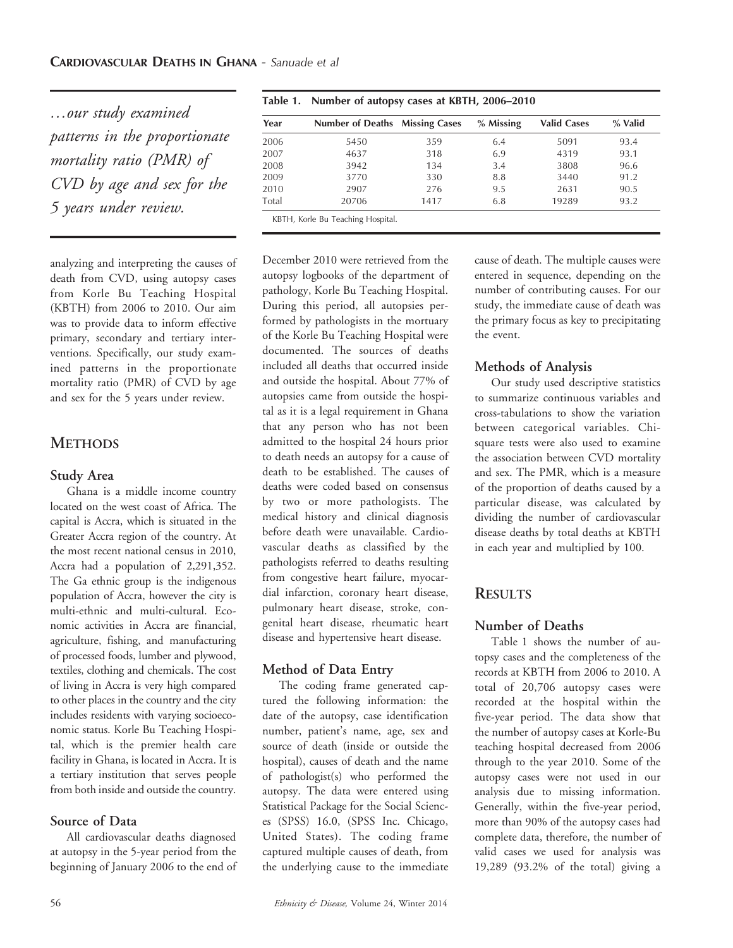…our study examined patterns in the proportionate mortality ratio (PMR) of CVD by age and sex for the 5 years under review.

analyzing and interpreting the causes of death from CVD, using autopsy cases from Korle Bu Teaching Hospital (KBTH) from 2006 to 2010. Our aim was to provide data to inform effective primary, secondary and tertiary interventions. Specifically, our study examined patterns in the proportionate mortality ratio (PMR) of CVD by age and sex for the 5 years under review.

# **METHODS**

#### Study Area

Ghana is a middle income country located on the west coast of Africa. The capital is Accra, which is situated in the Greater Accra region of the country. At the most recent national census in 2010, Accra had a population of 2,291,352. The Ga ethnic group is the indigenous population of Accra, however the city is multi-ethnic and multi-cultural. Economic activities in Accra are financial, agriculture, fishing, and manufacturing of processed foods, lumber and plywood, textiles, clothing and chemicals. The cost of living in Accra is very high compared to other places in the country and the city includes residents with varying socioeconomic status. Korle Bu Teaching Hospital, which is the premier health care facility in Ghana, is located in Accra. It is a tertiary institution that serves people from both inside and outside the country.

## Source of Data

All cardiovascular deaths diagnosed at autopsy in the 5-year period from the beginning of January 2006 to the end of

| Year  | <b>Number of Deaths Missing Cases</b> |      | % Missing | <b>Valid Cases</b> | % Valid |
|-------|---------------------------------------|------|-----------|--------------------|---------|
| 2006  | 5450                                  | 359  | 6.4       | 5091               | 93.4    |
| 2007  | 4637                                  | 318  | 6.9       | 4319               | 93.1    |
| 2008  | 3942                                  | 134  | 3.4       | 3808               | 96.6    |
| 2009  | 3770                                  | 330  | 8.8       | 3440               | 91.2    |
| 2010  | 2907                                  | 276  | 9.5       | 2631               | 90.5    |
| Total | 20706                                 | 1417 | 6.8       | 19289              | 93.2    |

Table 1. Number of autopsy cases at KBTH, 2006–2010

December 2010 were retrieved from the autopsy logbooks of the department of pathology, Korle Bu Teaching Hospital. During this period, all autopsies performed by pathologists in the mortuary of the Korle Bu Teaching Hospital were documented. The sources of deaths included all deaths that occurred inside and outside the hospital. About 77% of autopsies came from outside the hospital as it is a legal requirement in Ghana that any person who has not been admitted to the hospital 24 hours prior to death needs an autopsy for a cause of death to be established. The causes of deaths were coded based on consensus by two or more pathologists. The medical history and clinical diagnosis before death were unavailable. Cardiovascular deaths as classified by the pathologists referred to deaths resulting from congestive heart failure, myocardial infarction, coronary heart disease, pulmonary heart disease, stroke, congenital heart disease, rheumatic heart disease and hypertensive heart disease.

## Method of Data Entry

The coding frame generated captured the following information: the date of the autopsy, case identification number, patient's name, age, sex and source of death (inside or outside the hospital), causes of death and the name of pathologist(s) who performed the autopsy. The data were entered using Statistical Package for the Social Sciences (SPSS) 16.0, (SPSS Inc. Chicago, United States). The coding frame captured multiple causes of death, from the underlying cause to the immediate cause of death. The multiple causes were entered in sequence, depending on the number of contributing causes. For our study, the immediate cause of death was the primary focus as key to precipitating the event.

## Methods of Analysis

Our study used descriptive statistics to summarize continuous variables and cross-tabulations to show the variation between categorical variables. Chisquare tests were also used to examine the association between CVD mortality and sex. The PMR, which is a measure of the proportion of deaths caused by a particular disease, was calculated by dividing the number of cardiovascular disease deaths by total deaths at KBTH in each year and multiplied by 100.

# **RESULTS**

## Number of Deaths

Table 1 shows the number of autopsy cases and the completeness of the records at KBTH from 2006 to 2010. A total of 20,706 autopsy cases were recorded at the hospital within the five-year period. The data show that the number of autopsy cases at Korle-Bu teaching hospital decreased from 2006 through to the year 2010. Some of the autopsy cases were not used in our analysis due to missing information. Generally, within the five-year period, more than 90% of the autopsy cases had complete data, therefore, the number of valid cases we used for analysis was 19,289 (93.2% of the total) giving a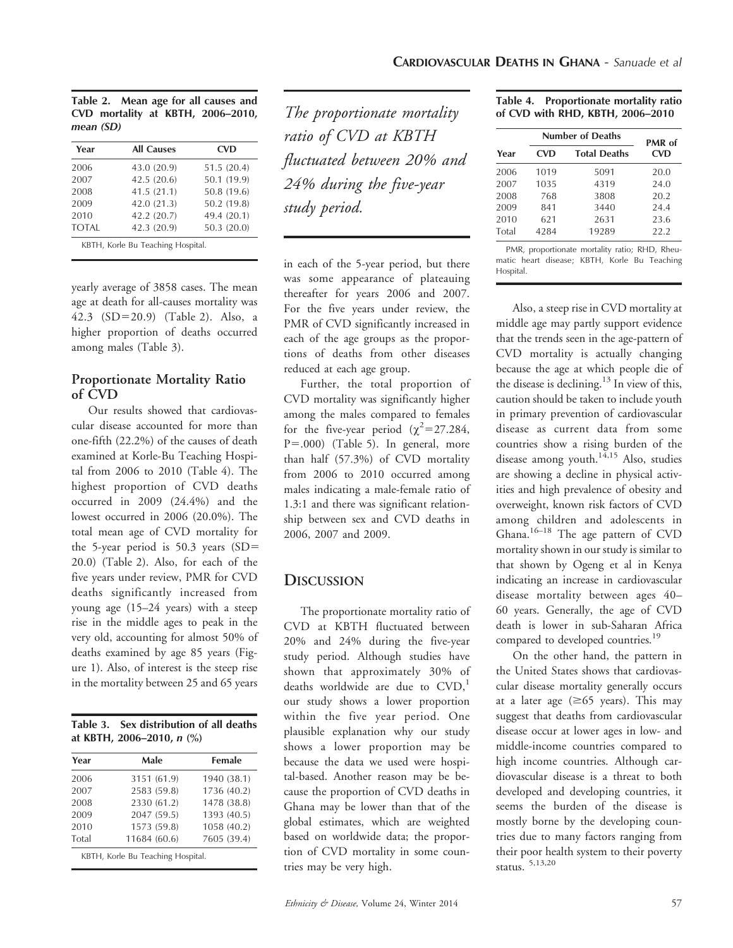|           |  |  | Table 2. Mean age for all causes and |  |
|-----------|--|--|--------------------------------------|--|
|           |  |  | CVD mortality at KBTH, 2006-2010,    |  |
| mean (SD) |  |  |                                      |  |

| Year         | <b>All Causes</b> | <b>CVD</b>  |
|--------------|-------------------|-------------|
| 2006         | 43.0 (20.9)       | 51.5 (20.4) |
| 2007         | 42.5 (20.6)       | 50.1 (19.9) |
| 2008         | 41.5 (21.1)       | 50.8 (19.6) |
| 2009         | 42.0 (21.3)       | 50.2 (19.8) |
| 2010         | 42.2 (20.7)       | 49.4 (20.1) |
| <b>TOTAL</b> | 42.3 (20.9)       | 50.3(20.0)  |

KBTH, Korle Bu Teaching Hospital.

yearly average of 3858 cases. The mean age at death for all-causes mortality was 42.3  $(SD=20.9)$  (Table 2). Also, a higher proportion of deaths occurred among males (Table 3).

#### Proportionate Mortality Ratio of CVD

Our results showed that cardiovascular disease accounted for more than one-fifth (22.2%) of the causes of death examined at Korle-Bu Teaching Hospital from 2006 to 2010 (Table 4). The highest proportion of CVD deaths occurred in 2009 (24.4%) and the lowest occurred in 2006 (20.0%). The total mean age of CVD mortality for the 5-year period is  $50.3$  years (SD= 20.0) (Table 2). Also, for each of the five years under review, PMR for CVD deaths significantly increased from young age (15–24 years) with a steep rise in the middle ages to peak in the very old, accounting for almost 50% of deaths examined by age 85 years (Figure 1). Also, of interest is the steep rise in the mortality between 25 and 65 years

| Table 3. Sex distribution of all deaths |  |  |  |  |
|-----------------------------------------|--|--|--|--|
| at KBTH, 2006–2010, $n$ (%)             |  |  |  |  |

| Year  | Male         | Female      |
|-------|--------------|-------------|
| 2006  | 3151 (61.9)  | 1940 (38.1) |
| 2007  | 2583 (59.8)  | 1736 (40.2) |
| 2008  | 2330 (61.2)  | 1478 (38.8) |
| 2009  | 2047 (59.5)  | 1393 (40.5) |
| 2010  | 1573 (59.8)  | 1058 (40.2) |
| Total | 11684 (60.6) | 7605 (39.4) |

The proportionate mortality ratio of CVD at KBTH fluctuated between 20% and 24% during the five-year study period.

in each of the 5-year period, but there was some appearance of plateauing thereafter for years 2006 and 2007. For the five years under review, the PMR of CVD significantly increased in each of the age groups as the proportions of deaths from other diseases reduced at each age group.

Further, the total proportion of CVD mortality was significantly higher among the males compared to females for the five-year period  $(\chi^2=27.284,$  $P = .000$ ) (Table 5). In general, more than half (57.3%) of CVD mortality from 2006 to 2010 occurred among males indicating a male-female ratio of 1.3:1 and there was significant relationship between sex and CVD deaths in 2006, 2007 and 2009.

## **DISCUSSION**

The proportionate mortality ratio of CVD at KBTH fluctuated between 20% and 24% during the five-year study period. Although studies have shown that approximately 30% of deaths worldwide are due to  $CVD$ ,<sup>1</sup> our study shows a lower proportion within the five year period. One plausible explanation why our study shows a lower proportion may be because the data we used were hospital-based. Another reason may be because the proportion of CVD deaths in Ghana may be lower than that of the global estimates, which are weighted based on worldwide data; the proportion of CVD mortality in some countries may be very high.

| Table 4. Proportionate mortality ratio |  |
|----------------------------------------|--|
| of CVD with RHD, KBTH, 2006-2010       |  |

|       |            | <b>Number of Deaths</b> |                      |  |  |
|-------|------------|-------------------------|----------------------|--|--|
| Year  | <b>CVD</b> | <b>Total Deaths</b>     | PMR of<br><b>CVD</b> |  |  |
| 2006  | 1019       | 5091                    | 20.0                 |  |  |
| 2007  | 1035       | 4319                    | 24.0                 |  |  |
| 2008  | 768        | 3808                    | 20.2                 |  |  |
| 2009  | 841        | 3440                    | 24.4                 |  |  |
| 2010  | 621        | 2631                    | 23.6                 |  |  |
| Total | 4284       | 19289                   | 22.2                 |  |  |

PMR, proportionate mortality ratio; RHD, Rheumatic heart disease; KBTH, Korle Bu Teaching Hospital.

Also, a steep rise in CVD mortality at middle age may partly support evidence that the trends seen in the age-pattern of CVD mortality is actually changing because the age at which people die of the disease is declining.<sup>13</sup> In view of this, caution should be taken to include youth in primary prevention of cardiovascular disease as current data from some countries show a rising burden of the disease among youth.<sup>14,15</sup> Also, studies are showing a decline in physical activities and high prevalence of obesity and overweight, known risk factors of CVD among children and adolescents in Ghana.16–18 The age pattern of CVD mortality shown in our study is similar to that shown by Ogeng et al in Kenya indicating an increase in cardiovascular disease mortality between ages 40– 60 years. Generally, the age of CVD death is lower in sub-Saharan Africa compared to developed countries.<sup>19</sup>

On the other hand, the pattern in the United States shows that cardiovascular disease mortality generally occurs at a later age  $(\geq 65$  years). This may suggest that deaths from cardiovascular disease occur at lower ages in low- and middle-income countries compared to high income countries. Although cardiovascular disease is a threat to both developed and developing countries, it seems the burden of the disease is mostly borne by the developing countries due to many factors ranging from their poor health system to their poverty status. 5,13,20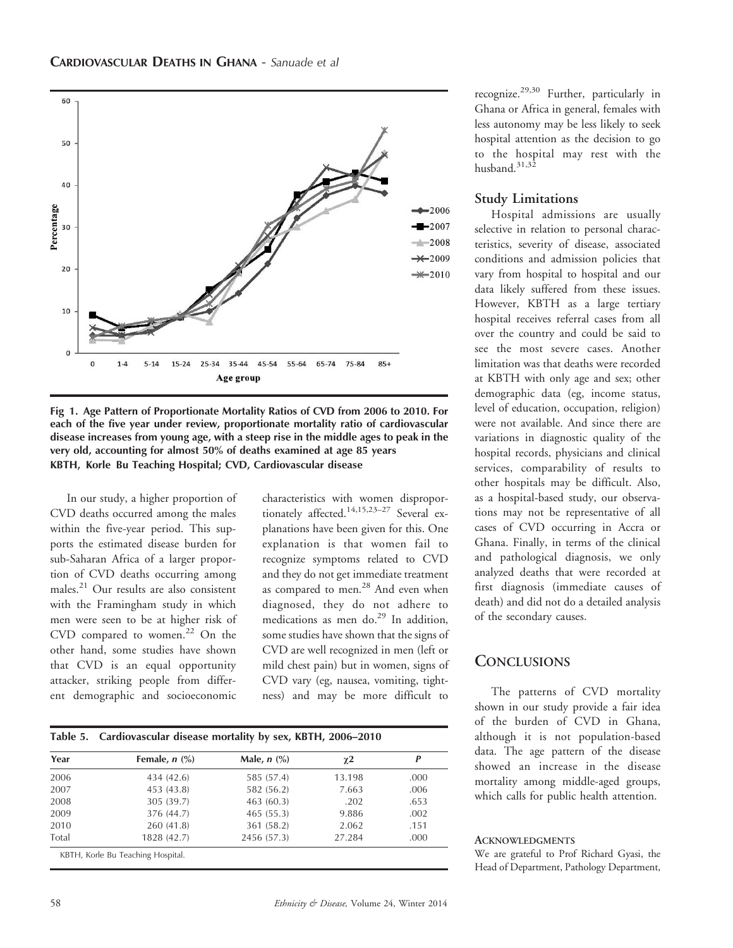

Fig 1. Age Pattern of Proportionate Mortality Ratios of CVD from 2006 to 2010. For each of the five year under review, proportionate mortality ratio of cardiovascular disease increases from young age, with a steep rise in the middle ages to peak in the very old, accounting for almost 50% of deaths examined at age 85 years KBTH, Korle Bu Teaching Hospital; CVD, Cardiovascular disease

In our study, a higher proportion of CVD deaths occurred among the males within the five-year period. This supports the estimated disease burden for sub-Saharan Africa of a larger proportion of CVD deaths occurring among males.<sup>21</sup> Our results are also consistent with the Framingham study in which men were seen to be at higher risk of CVD compared to women.<sup>22</sup> On the other hand, some studies have shown that CVD is an equal opportunity attacker, striking people from different demographic and socioeconomic

characteristics with women disproportionately affected.<sup>14,15,23–27</sup> Several explanations have been given for this. One explanation is that women fail to recognize symptoms related to CVD and they do not get immediate treatment as compared to men.<sup>28</sup> And even when diagnosed, they do not adhere to medications as men do.<sup>29</sup> In addition, some studies have shown that the signs of CVD are well recognized in men (left or mild chest pain) but in women, signs of CVD vary (eg, nausea, vomiting, tightness) and may be more difficult to

| Year  | Female, $n$ $(\%)$ | Male, $n$ $\left(\frac{9}{6}\right)$ | $\chi$ 2 | P    |
|-------|--------------------|--------------------------------------|----------|------|
| 2006  | 434 (42.6)         | 585 (57.4)                           | 13.198   | .000 |
| 2007  | 453 (43.8)         | 582 (56.2)                           | 7.663    | .006 |
| 2008  | 305 (39.7)         | 463 (60.3)                           | .202     | .653 |
| 2009  | 376 (44.7)         | 465(55.3)                            | 9.886    | .002 |
| 2010  | 260 (41.8)         | 361 (58.2)                           | 2.062    | .151 |
| Total | 1828 (42.7)        | 2456 (57.3)                          | 27.284   | .000 |

recognize.29,30 Further, particularly in Ghana or Africa in general, females with less autonomy may be less likely to seek hospital attention as the decision to go to the hospital may rest with the husband.<sup>31,32</sup>

#### Study Limitations

Hospital admissions are usually selective in relation to personal characteristics, severity of disease, associated conditions and admission policies that vary from hospital to hospital and our data likely suffered from these issues. However, KBTH as a large tertiary hospital receives referral cases from all over the country and could be said to see the most severe cases. Another limitation was that deaths were recorded at KBTH with only age and sex; other demographic data (eg, income status, level of education, occupation, religion) were not available. And since there are variations in diagnostic quality of the hospital records, physicians and clinical services, comparability of results to other hospitals may be difficult. Also, as a hospital-based study, our observations may not be representative of all cases of CVD occurring in Accra or Ghana. Finally, in terms of the clinical and pathological diagnosis, we only analyzed deaths that were recorded at first diagnosis (immediate causes of death) and did not do a detailed analysis of the secondary causes.

## **CONCLUSIONS**

The patterns of CVD mortality shown in our study provide a fair idea of the burden of CVD in Ghana, although it is not population-based data. The age pattern of the disease showed an increase in the disease mortality among middle-aged groups, which calls for public health attention.

#### **ACKNOWLEDGMENTS**

We are grateful to Prof Richard Gyasi, the Head of Department, Pathology Department,